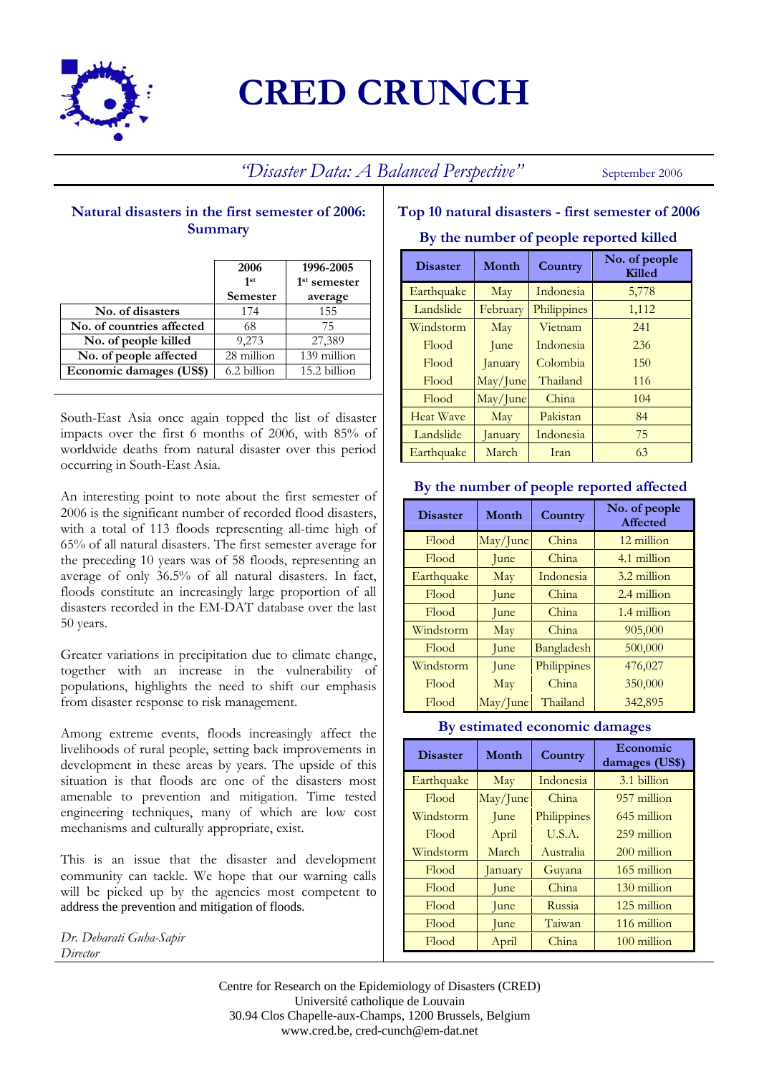

# **CRED CRUNCH**

*"Disaster Data: A Balanced Perspective"* September 2006

## **Natural disasters in the first semester of 2006: Summary**

|                           | 2006<br>1st | 1996-2005<br>1 <sup>st</sup> semester |
|---------------------------|-------------|---------------------------------------|
|                           | Semester    | average                               |
| No. of disasters          | 174         | 155                                   |
| No. of countries affected | 68          | 75                                    |
| No. of people killed      | 9,273       | 27,389                                |
| No. of people affected    | 28 million  | 139 million                           |
| Economic damages (US\$)   | 6.2 billion | 15.2 billion                          |

South-East Asia once again topped the list of disaster impacts over the first 6 months of 2006, with 85% of worldwide deaths from natural disaster over this period occurring in South-East Asia.

An interesting point to note about the first semester of 2006 is the significant number of recorded flood disasters, with a total of 113 floods representing all-time high of 65% of all natural disasters. The first semester average for the preceding 10 years was of 58 floods, representing an average of only 36.5% of all natural disasters. In fact, floods constitute an increasingly large proportion of all disasters recorded in the EM-DAT database over the last 50 years.

Greater variations in precipitation due to climate change, together with an increase in the vulnerability of populations, highlights the need to shift our emphasis from disaster response to risk management.

Among extreme events, floods increasingly affect the livelihoods of rural people, setting back improvements in development in these areas by years. The upside of this situation is that floods are one of the disasters most amenable to prevention and mitigation. Time tested engineering techniques, many of which are low cost mechanisms and culturally appropriate, exist.

This is an issue that the disaster and development community can tackle. We hope that our warning calls will be picked up by the agencies most competent to address the prevention and mitigation of floods.

*Dr. Debarati Guha-Sapir Director*

## **Top 10 natural disasters - first semester of 2006**

#### **By the number of people reported killed**

| <b>Disaster</b>  | Month    | <b>Country</b> | No. of people<br>Killed |
|------------------|----------|----------------|-------------------------|
| Earthquake       | May      | Indonesia      | 5,778                   |
| Landslide        | February | Philippines    | 1,112                   |
| Windstorm        | May      | Vietnam        | 241                     |
| Flood            | June     | Indonesia      | 236                     |
| Flood            | January  | Colombia       | 150                     |
| Flood            | May/June | Thailand       | 116                     |
| Flood            | May/June | China          | 104                     |
| <b>Heat Wave</b> | May      | Pakistan       | 84                      |
| Landslide        | January  | Indonesia      | 75                      |
| Earthquake       | March    | Iran           | 63                      |

#### **By the number of people reported affected**

| <b>Disaster</b> | Month             | Country     | No. of people<br>Affected |
|-----------------|-------------------|-------------|---------------------------|
| Flood           | May/June          | China       | 12 million                |
| Flood           | June              | China       | 4.1 million               |
| Earthquake      | May               | Indonesia   | 3.2 million               |
| Flood           | June              | China       | 2.4 million               |
| Flood           | June              | China       | 1.4 million               |
| Windstorm       | May               | China       | 905,000                   |
| Flood           | June              | Bangladesh  | 500,000                   |
| Windstorm       | June              | Philippines | 476,027                   |
| Flood           | May               | China       | 350,000                   |
| Flood           | $\text{May/June}$ | Thailand    | 342,895                   |

#### **By estimated economic damages**

| <b>Disaster</b> | Month    | Country     | Economic<br>damages (US\$) |
|-----------------|----------|-------------|----------------------------|
| Earthquake      | May      | Indonesia   | 3.1 billion                |
| Flood           | May/June | China       | 957 million                |
| Windstorm       | June     | Philippines | 645 million                |
| Flood           | April    | U.S.A.      | 259 million                |
| Windstorm       | March    | Australia   | 200 million                |
| Flood           | January  | Guyana      | 165 million                |
| Flood           | June     | China       | 130 million                |
| Flood           | June     | Russia      | 125 million                |
| Flood           | June     | Taiwan      | 116 million                |
| Flood           | April    | China       | $100$ million              |

Centre for Research on the Epidemiology of Disasters (CRED) Université catholique de Louvain 30.94 Clos Chapelle-aux-Champs, 1200 Brussels, Belgium www.cred.be, cred-cunch@em-dat.net